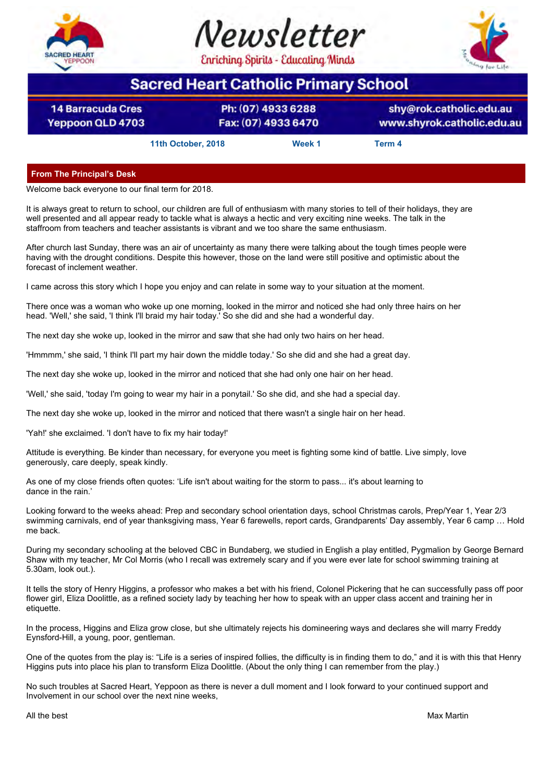





# **Sacred Heart Catholic Primary School**

**14 Barracuda Cres Yeppoon QLD 4703** 

Ph: (07) 4933 6288 Fax: (07) 4933 6470

shy@rok.catholic.edu.au www.shyrok.catholic.edu.au

**11th October, 2018 Week 1 Term 4**

**From The Principal's Desk**

Welcome back everyone to our final term for 2018.

It is always great to return to school, our children are full of enthusiasm with many stories to tell of their holidays, they are well presented and all appear ready to tackle what is always a hectic and very exciting nine weeks. The talk in the staffroom from teachers and teacher assistants is vibrant and we too share the same enthusiasm.

After church last Sunday, there was an air of uncertainty as many there were talking about the tough times people were having with the drought conditions. Despite this however, those on the land were still positive and optimistic about the forecast of inclement weather.

I came across this story which I hope you enjoy and can relate in some way to your situation at the moment.

There once was a woman who woke up one morning, looked in the mirror and noticed she had only three hairs on her head. 'Well,' she said, 'I think I'll braid my hair today.' So she did and she had a wonderful day.

The next day she woke up, looked in the mirror and saw that she had only two hairs on her head.

'Hmmmm,' she said, 'I think I'll part my hair down the middle today.' So she did and she had a great day.

The next day she woke up, looked in the mirror and noticed that she had only one hair on her head.

'Well,' she said, 'today I'm going to wear my hair in a ponytail.' So she did, and she had a special day.

The next day she woke up, looked in the mirror and noticed that there wasn't a single hair on her head.

'Yah!' she exclaimed. 'I don't have to fix my hair today!'

Attitude is everything. Be kinder than necessary, for everyone you meet is fighting some kind of battle. Live simply, love generously, care deeply, speak kindly.

As one of my close friends often quotes: 'Life isn't about waiting for the storm to pass... it's about learning to dance in the rain.'

Looking forward to the weeks ahead: Prep and secondary school orientation days, school Christmas carols, Prep/Year 1, Year 2/3 swimming carnivals, end of year thanksgiving mass, Year 6 farewells, report cards, Grandparents' Day assembly, Year 6 camp … Hold me back.

During my secondary schooling at the beloved CBC in Bundaberg, we studied in English a play entitled, Pygmalion by George Bernard Shaw with my teacher, Mr Col Morris (who I recall was extremely scary and if you were ever late for school swimming training at 5.30am, look out.).

It tells the story of Henry Higgins, a professor who makes a bet with his friend, Colonel Pickering that he can successfully pass off poor flower girl, Eliza Doolittle, as a refined society lady by teaching her how to speak with an upper class accent and training her in etiquette.

In the process, Higgins and Eliza grow close, but she ultimately rejects his domineering ways and declares she will marry Freddy Eynsford-Hill, a young, poor, gentleman.

One of the quotes from the play is: "Life is a series of inspired follies, the difficulty is in finding them to do," and it is with this that Henry Higgins puts into place his plan to transform Eliza Doolittle. (About the only thing I can remember from the play.)

No such troubles at Sacred Heart, Yeppoon as there is never a dull moment and I look forward to your continued support and Involvement in our school over the next nine weeks,

All the best Max Martin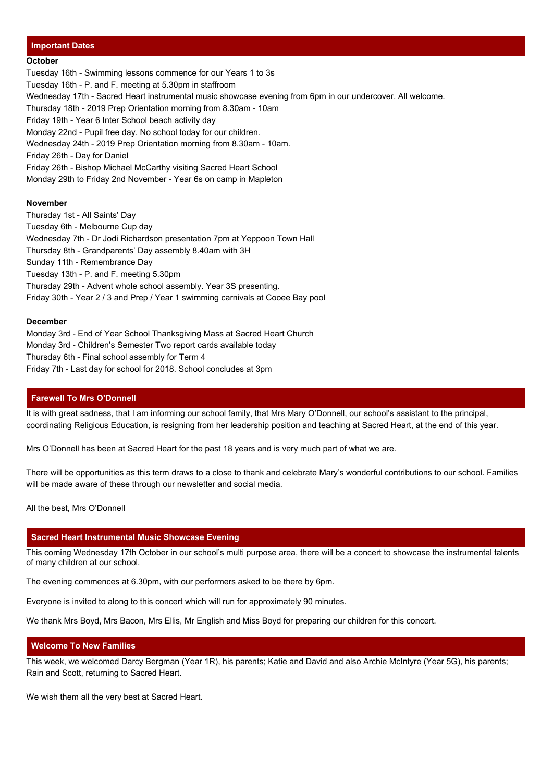#### **Important Dates**

#### **October**

Tuesday 16th - Swimming lessons commence for our Years 1 to 3s Tuesday 16th - P. and F. meeting at 5.30pm in staffroom Wednesday 17th - Sacred Heart instrumental music showcase evening from 6pm in our undercover. All welcome. Thursday 18th - 2019 Prep Orientation morning from 8.30am - 10am Friday 19th - Year 6 Inter School beach activity day Monday 22nd - Pupil free day. No school today for our children. Wednesday 24th - 2019 Prep Orientation morning from 8.30am - 10am. Friday 26th - Day for Daniel Friday 26th - Bishop Michael McCarthy visiting Sacred Heart School Monday 29th to Friday 2nd November - Year 6s on camp in Mapleton

#### **November**

Thursday 1st - All Saints' Day Tuesday 6th - Melbourne Cup day Wednesday 7th - Dr Jodi Richardson presentation 7pm at Yeppoon Town Hall Thursday 8th - Grandparents' Day assembly 8.40am with 3H Sunday 11th - Remembrance Day Tuesday 13th - P. and F. meeting 5.30pm Thursday 29th - Advent whole school assembly. Year 3S presenting. Friday 30th - Year 2 / 3 and Prep / Year 1 swimming carnivals at Cooee Bay pool

#### **December**

Monday 3rd - End of Year School Thanksgiving Mass at Sacred Heart Church Monday 3rd - Children's Semester Two report cards available today Thursday 6th - Final school assembly for Term 4 Friday 7th - Last day for school for 2018. School concludes at 3pm

#### **Farewell To Mrs O'Donnell**

It is with great sadness, that I am informing our school family, that Mrs Mary O'Donnell, our school's assistant to the principal, coordinating Religious Education, is resigning from her leadership position and teaching at Sacred Heart, at the end of this year.

Mrs O'Donnell has been at Sacred Heart for the past 18 years and is very much part of what we are.

There will be opportunities as this term draws to a close to thank and celebrate Mary's wonderful contributions to our school. Families will be made aware of these through our newsletter and social media.

All the best, Mrs O'Donnell

#### **Sacred Heart Instrumental Music Showcase Evening**

This coming Wednesday 17th October in our school's multi purpose area, there will be a concert to showcase the instrumental talents of many children at our school.

The evening commences at 6.30pm, with our performers asked to be there by 6pm.

Everyone is invited to along to this concert which will run for approximately 90 minutes.

We thank Mrs Boyd, Mrs Bacon, Mrs Ellis, Mr English and Miss Boyd for preparing our children for this concert.

#### **Welcome To New Families**

This week, we welcomed Darcy Bergman (Year 1R), his parents; Katie and David and also Archie McIntyre (Year 5G), his parents; Rain and Scott, returning to Sacred Heart.

We wish them all the very best at Sacred Heart.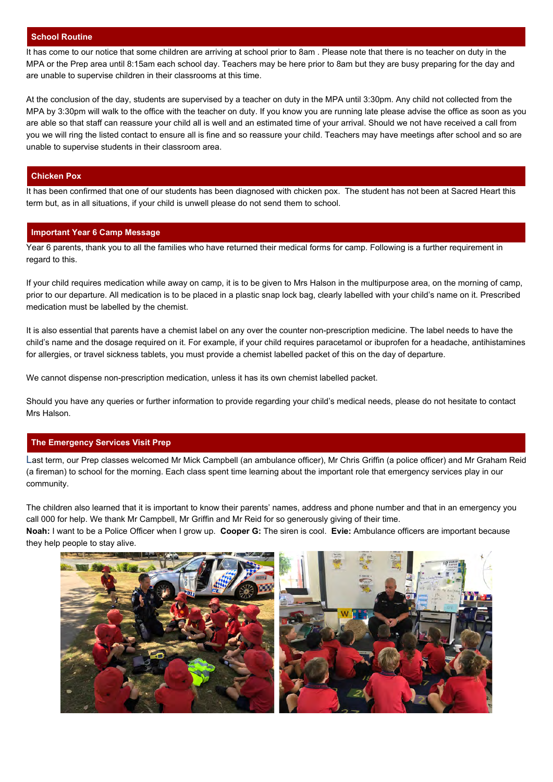#### **School Routine**

It has come to our notice that some children are arriving at school prior to 8am . Please note that there is no teacher on duty in the MPA or the Prep area until 8:15am each school day. Teachers may be here prior to 8am but they are busy preparing for the day and are unable to supervise children in their classrooms at this time.

At the conclusion of the day, students are supervised by a teacher on duty in the MPA until 3:30pm. Any child not collected from the MPA by 3:30pm will walk to the office with the teacher on duty. If you know you are running late please advise the office as soon as you are able so that staff can reassure your child all is well and an estimated time of your arrival. Should we not have received a call from you we will ring the listed contact to ensure all is fine and so reassure your child. Teachers may have meetings after school and so are unable to supervise students in their classroom area.

#### **Chicken Pox**

It has been confirmed that one of our students has been diagnosed with chicken pox. The student has not been at Sacred Heart this term but, as in all situations, if your child is unwell please do not send them to school.

#### **Important Year 6 Camp Message**

Year 6 parents, thank you to all the families who have returned their medical forms for camp. Following is a further requirement in regard to this.

If your child requires medication while away on camp, it is to be given to Mrs Halson in the multipurpose area, on the morning of camp, prior to our departure. All medication is to be placed in a plastic snap lock bag, clearly labelled with your child's name on it. Prescribed medication must be labelled by the chemist.

It is also essential that parents have a chemist label on any over the counter non-prescription medicine. The label needs to have the child's name and the dosage required on it. For example, if your child requires paracetamol or ibuprofen for a headache, antihistamines for allergies, or travel sickness tablets, you must provide a chemist labelled packet of this on the day of departure.

We cannot dispense non-prescription medication, unless it has its own chemist labelled packet.

Should you have any queries or further information to provide regarding your child's medical needs, please do not hesitate to contact Mrs Halson.

#### **The Emergency Services Visit Prep**

Last term, our Prep classes welcomed Mr Mick Campbell (an ambulance officer), Mr Chris Griffin (a police officer) and Mr Graham Reid (a fireman) to school for the morning. Each class spent time learning about the important role that emergency services play in our community.

The children also learned that it is important to know their parents' names, address and phone number and that in an emergency you call 000 for help. We thank Mr Campbell, Mr Griffin and Mr Reid for so generously giving of their time. **Noah:** I want to be a Police Officer when I grow up. **Cooper G:** The siren is cool. **Evie:** Ambulance officers are important because they help people to stay alive.

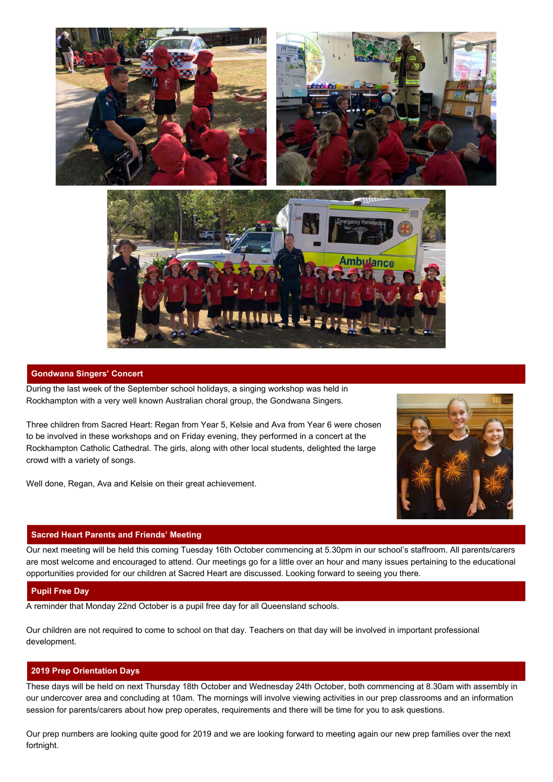

#### **Gondwana Singers' Concert**

During the last week of the September school holidays, a singing workshop was held in Rockhampton with a very well known Australian choral group, the Gondwana Singers.

Three children from Sacred Heart: Regan from Year 5, Kelsie and Ava from Year 6 were chosen to be involved in these workshops and on Friday evening, they performed in a concert at the Rockhampton Catholic Cathedral. The girls, along with other local students, delighted the large crowd with a variety of songs.

Well done, Regan, Ava and Kelsie on their great achievement.

#### **Sacred Heart Parents and Friends' Meeting**

Our next meeting will be held this coming Tuesday 16th October commencing at 5.30pm in our school's staffroom. All parents/carers are most welcome and encouraged to attend. Our meetings go for a little over an hour and many issues pertaining to the educational opportunities provided for our children at Sacred Heart are discussed. Looking forward to seeing you there.

#### **Pupil Free Day**

A reminder that Monday 22nd October is a pupil free day for all Queensland schools.

Our children are not required to come to school on that day. Teachers on that day will be involved in important professional development.

#### **2019 Prep Orientation Days**

These days will be held on next Thursday 18th October and Wednesday 24th October, both commencing at 8.30am with assembly in our undercover area and concluding at 10am. The mornings will involve viewing activities in our prep classrooms and an information session for parents/carers about how prep operates, requirements and there will be time for you to ask questions.

Our prep numbers are looking quite good for 2019 and we are looking forward to meeting again our new prep families over the next fortnight.

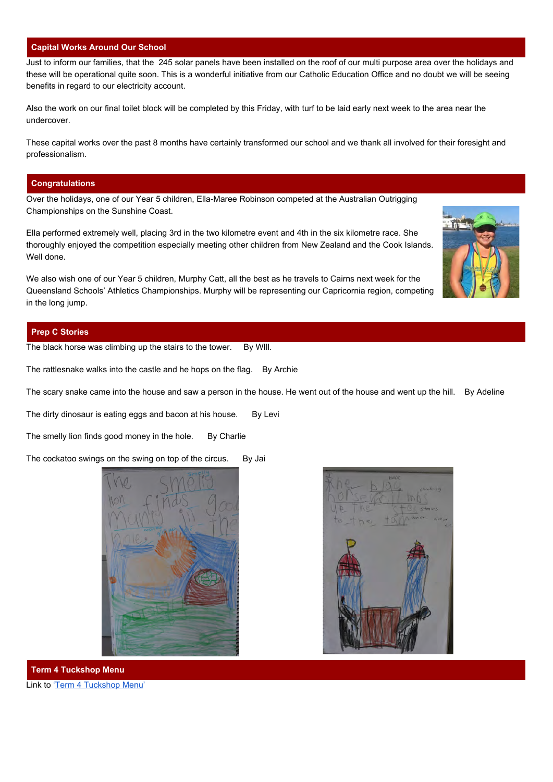#### **Capital Works Around Our School**

Just to inform our families, that the 245 solar panels have been installed on the roof of our multi purpose area over the holidays and these will be operational quite soon. This is a wonderful initiative from our Catholic Education Office and no doubt we will be seeing benefits in regard to our electricity account.

Also the work on our final toilet block will be completed by this Friday, with turf to be laid early next week to the area near the undercover.

These capital works over the past 8 months have certainly transformed our school and we thank all involved for their foresight and professionalism.

#### **Congratulations**

Over the holidays, one of our Year 5 children, Ella-Maree Robinson competed at the Australian Outrigging Championships on the Sunshine Coast.

Ella performed extremely well, placing 3rd in the two kilometre event and 4th in the six kilometre race. She thoroughly enjoyed the competition especially meeting other children from New Zealand and the Cook Islands. Well done.

We also wish one of our Year 5 children, Murphy Catt, all the best as he travels to Cairns next week for the Queensland Schools' Athletics Championships. Murphy will be representing our Capricornia region, competing in the long jump.

#### **Prep C Stories**

The black horse was climbing up the stairs to the tower. By WIII.

The rattlesnake walks into the castle and he hops on the flag. By Archie

The scary snake came into the house and saw a person in the house. He went out of the house and went up the hill. By Adeline

The dirty dinosaur is eating eggs and bacon at his house. By Levi

The smelly lion finds good money in the hole. By Charlie

The cockatoo swings on the swing on top of the circus. By Jai





**Term 4 Tuckshop Menu** Link to ['Term 4 Tuckshop Menu'](https://drive.google.com/a/rok.catholic.edu.au/file/d/1GnZd1Ix7ycM6cV40HYLA9t4DOlbdqODJ/view?usp=sharing)

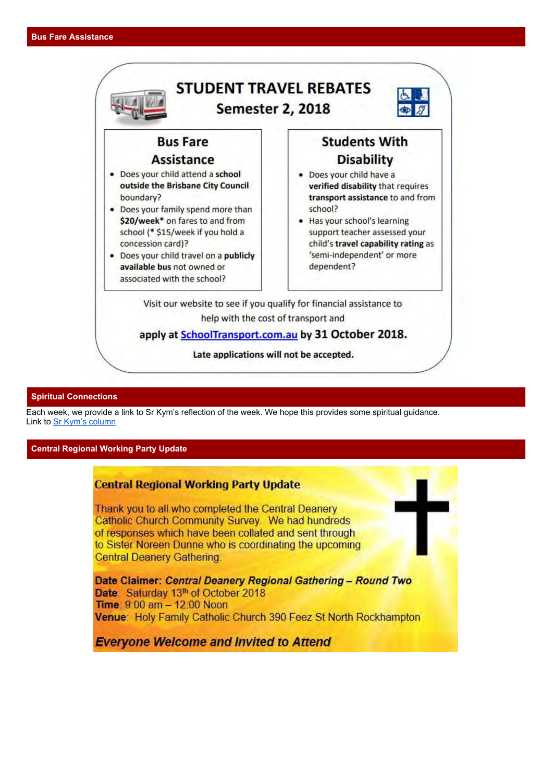

#### **Spiritual Connections**

Each week, we provide a link to Sr Kym's reflection of the week. We hope this provides some spiritual guidance. Link to [Sr Kym's column](https://drive.google.com/a/rok.catholic.edu.au/file/d/1LeU7rUQEGKNl30NOlOA8-yOJtXrr9PGe/view?usp=sharing)

#### **Central Regional Working Party Update**

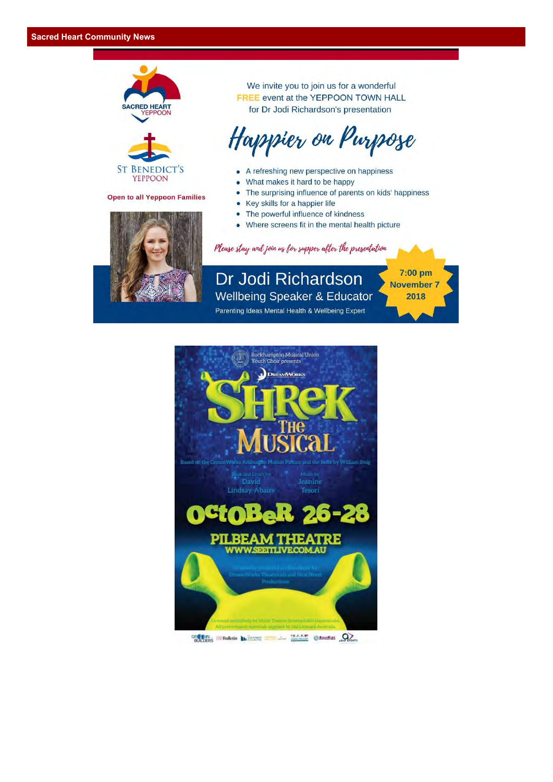



**Open to all Yeppoon Families** 



We invite you to join us for a wonderful FREE event at the YEPPOON TOWN HALL for Dr Jodi Richardson's presentation

# Happier on Purpose

- A refreshing new perspective on happiness
- What makes it hard to be happy  $\bullet$
- $\bullet$ The surprising influence of parents on kids' happiness

7:00 pm

**November 7** 

2018

- Key skills for a happier life
- The powerful influence of kindness
- Where screens fit in the mental health picture

Please stay and join us for supper after the presentation

Dr Jodi Richardson **Wellbeing Speaker & Educator** 

Parenting Ideas Mental Health & Wellbeing Expert



GREEN IN Bulletin the company of the contract of the contract of the contract of the Bulletin of The Contract of The Contract of The Contract of The Contract of The Contract of The Contract of The Contract of The Contract